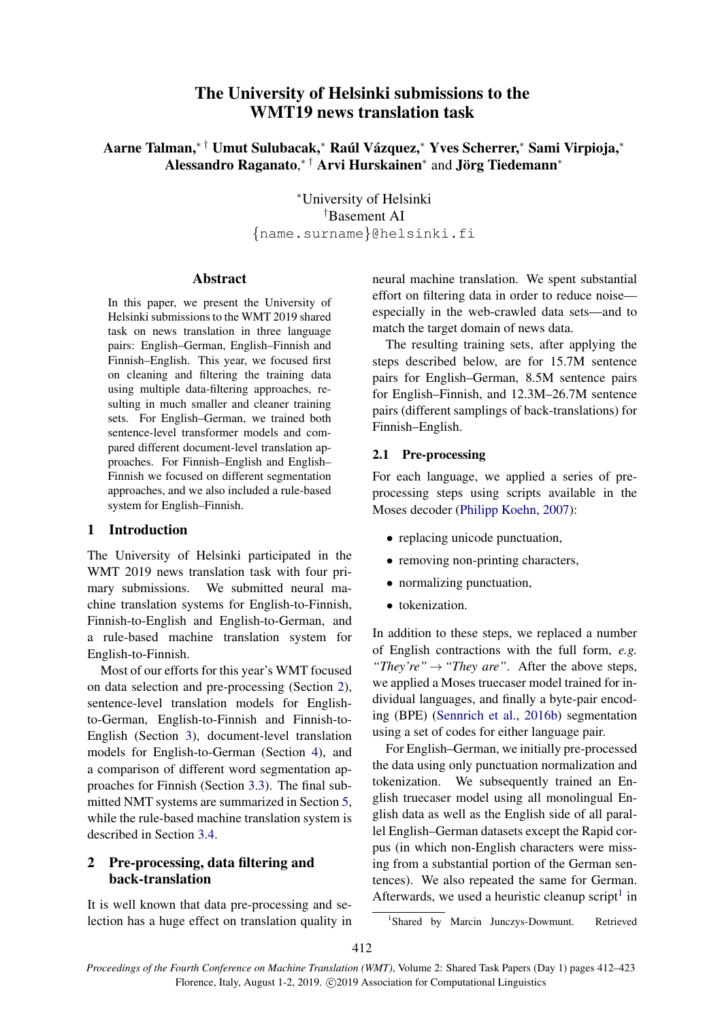# The University of Helsinki submissions to the WMT19 news translation task

Aarne Talman,\*† Umut Sulubacak,\* Raúl Vázquez,\* Yves Scherrer,\* Sami Virpioja,\* Alessandro Raganato,<sup>\*†</sup> Arvi Hurskainen<sup>\*</sup> and Jörg Tiedemann<sup>\*</sup>

> <sup>∗</sup>University of Helsinki †Basement AI {name.surname}@helsinki.fi

# Abstract

In this paper, we present the University of Helsinki submissions to the WMT 2019 shared task on news translation in three language pairs: English–German, English–Finnish and Finnish–English. This year, we focused first on cleaning and filtering the training data using multiple data-filtering approaches, resulting in much smaller and cleaner training sets. For English–German, we trained both sentence-level transformer models and compared different document-level translation approaches. For Finnish–English and English– Finnish we focused on different segmentation approaches, and we also included a rule-based system for English–Finnish.

# 1 Introduction

The University of Helsinki participated in the WMT 2019 news translation task with four primary submissions. We submitted neural machine translation systems for English-to-Finnish, Finnish-to-English and English-to-German, and a rule-based machine translation system for English-to-Finnish.

Most of our efforts for this year's WMT focused on data selection and pre-processing (Section [2\)](#page-0-0), sentence-level translation models for Englishto-German, English-to-Finnish and Finnish-to-English (Section [3\)](#page-3-0), document-level translation models for English-to-German (Section [4\)](#page-8-0), and a comparison of different word segmentation approaches for Finnish (Section [3.3\)](#page-5-0). The final submitted NMT systems are summarized in Section [5,](#page-9-0) while the rule-based machine translation system is described in Section [3.4.](#page-7-0)

# <span id="page-0-0"></span>2 Pre-processing, data filtering and back-translation

It is well known that data pre-processing and selection has a huge effect on translation quality in neural machine translation. We spent substantial effort on filtering data in order to reduce noise especially in the web-crawled data sets—and to match the target domain of news data.

The resulting training sets, after applying the steps described below, are for 15.7M sentence pairs for English–German, 8.5M sentence pairs for English–Finnish, and 12.3M–26.7M sentence pairs (different samplings of back-translations) for Finnish–English.

# 2.1 Pre-processing

For each language, we applied a series of preprocessing steps using scripts available in the Moses decoder [\(Philipp Koehn,](#page-11-0) [2007\)](#page-11-0):

- replacing unicode punctuation,
- removing non-printing characters,
- normalizing punctuation,
- tokenization.

In addition to these steps, we replaced a number of English contractions with the full form, *e.g. "They're"*→*"They are"*. After the above steps, we applied a Moses truecaser model trained for individual languages, and finally a byte-pair encoding (BPE) [\(Sennrich et al.,](#page-11-1) [2016b\)](#page-11-1) segmentation using a set of codes for either language pair.

For English–German, we initially pre-processed the data using only punctuation normalization and tokenization. We subsequently trained an English truecaser model using all monolingual English data as well as the English side of all parallel English–German datasets except the Rapid corpus (in which non-English characters were missing from a substantial portion of the German sentences). We also repeated the same for German. Afterwards, we used a heuristic cleanup script<sup>[1](#page-0-1)</sup> in

<span id="page-0-1"></span><sup>&</sup>lt;sup>1</sup>Shared by Marcin Junczys-Dowmunt. Retrieved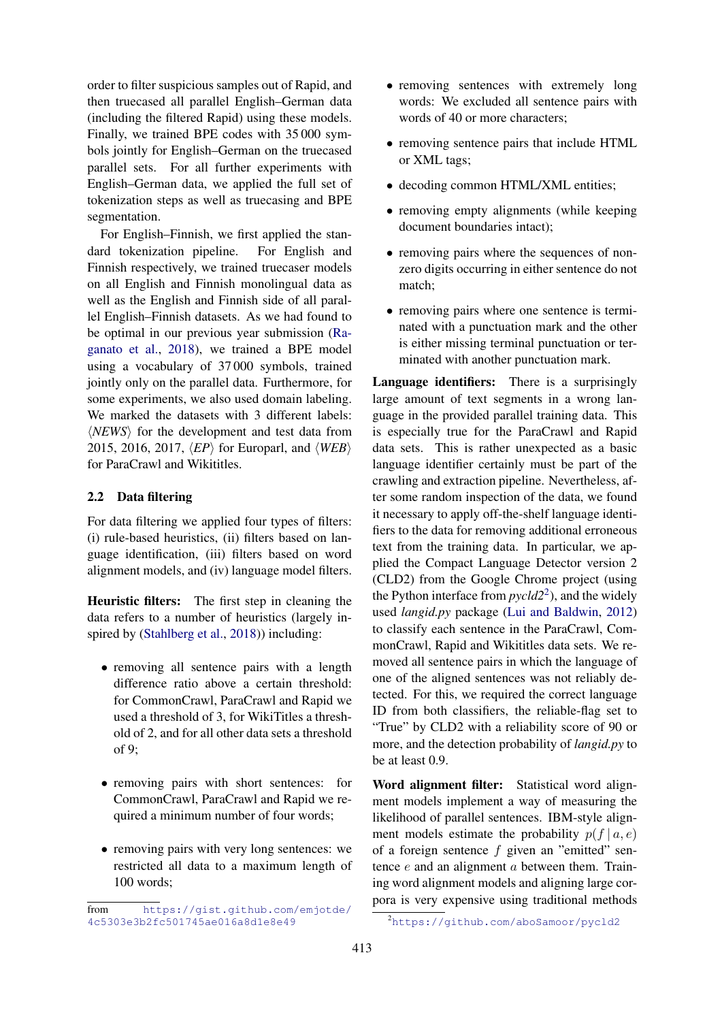order to filter suspicious samples out of Rapid, and then truecased all parallel English–German data (including the filtered Rapid) using these models. Finally, we trained BPE codes with 35 000 symbols jointly for English–German on the truecased parallel sets. For all further experiments with English–German data, we applied the full set of tokenization steps as well as truecasing and BPE segmentation.

For English–Finnish, we first applied the standard tokenization pipeline. For English and Finnish respectively, we trained truecaser models on all English and Finnish monolingual data as well as the English and Finnish side of all parallel English–Finnish datasets. As we had found to be optimal in our previous year submission [\(Ra](#page-11-2)[ganato et al.,](#page-11-2) [2018\)](#page-11-2), we trained a BPE model using a vocabulary of 37 000 symbols, trained jointly only on the parallel data. Furthermore, for some experiments, we also used domain labeling. We marked the datasets with 3 different labels:  $\langle NEWS \rangle$  for the development and test data from 2015, 2016, 2017,  $\langle EP \rangle$  for Europarl, and  $\langle WEB \rangle$ for ParaCrawl and Wikititles.

# 2.2 Data filtering

For data filtering we applied four types of filters: (i) rule-based heuristics, (ii) filters based on language identification, (iii) filters based on word alignment models, and (iv) language model filters.

Heuristic filters: The first step in cleaning the data refers to a number of heuristics (largely inspired by [\(Stahlberg et al.,](#page-11-3) [2018\)](#page-11-3)) including:

- removing all sentence pairs with a length difference ratio above a certain threshold: for CommonCrawl, ParaCrawl and Rapid we used a threshold of 3, for WikiTitles a threshold of 2, and for all other data sets a threshold of 9;
- removing pairs with short sentences: for CommonCrawl, ParaCrawl and Rapid we required a minimum number of four words;
- removing pairs with very long sentences: we restricted all data to a maximum length of 100 words;
- removing sentences with extremely long words: We excluded all sentence pairs with words of 40 or more characters;
- removing sentence pairs that include HTML or XML tags;
- decoding common HTML/XML entities;
- removing empty alignments (while keeping document boundaries intact);
- removing pairs where the sequences of nonzero digits occurring in either sentence do not match;
- removing pairs where one sentence is terminated with a punctuation mark and the other is either missing terminal punctuation or terminated with another punctuation mark.

Language identifiers: There is a surprisingly large amount of text segments in a wrong language in the provided parallel training data. This is especially true for the ParaCrawl and Rapid data sets. This is rather unexpected as a basic language identifier certainly must be part of the crawling and extraction pipeline. Nevertheless, after some random inspection of the data, we found it necessary to apply off-the-shelf language identifiers to the data for removing additional erroneous text from the training data. In particular, we applied the Compact Language Detector version 2 (CLD2) from the Google Chrome project (using the Python interface from *pycld2*[2](#page-1-0) ), and the widely used *langid.py* package [\(Lui and Baldwin,](#page-11-4) [2012\)](#page-11-4) to classify each sentence in the ParaCrawl, CommonCrawl, Rapid and Wikititles data sets. We removed all sentence pairs in which the language of one of the aligned sentences was not reliably detected. For this, we required the correct language ID from both classifiers, the reliable-flag set to "True" by CLD2 with a reliability score of 90 or more, and the detection probability of *langid.py* to be at least 0.9.

Word alignment filter: Statistical word alignment models implement a way of measuring the likelihood of parallel sentences. IBM-style alignment models estimate the probability  $p(f | a, e)$ of a foreign sentence  $f$  given an "emitted" sentence e and an alignment a between them. Training word alignment models and aligning large corpora is very expensive using traditional methods

from [https://gist.github.com/emjotde/](https://gist.github.com/emjotde/4c5303e3b2fc501745ae016a8d1e8e49) [4c5303e3b2fc501745ae016a8d1e8e49](https://gist.github.com/emjotde/4c5303e3b2fc501745ae016a8d1e8e49)

<span id="page-1-0"></span><sup>2</sup><https://github.com/aboSamoor/pycld2>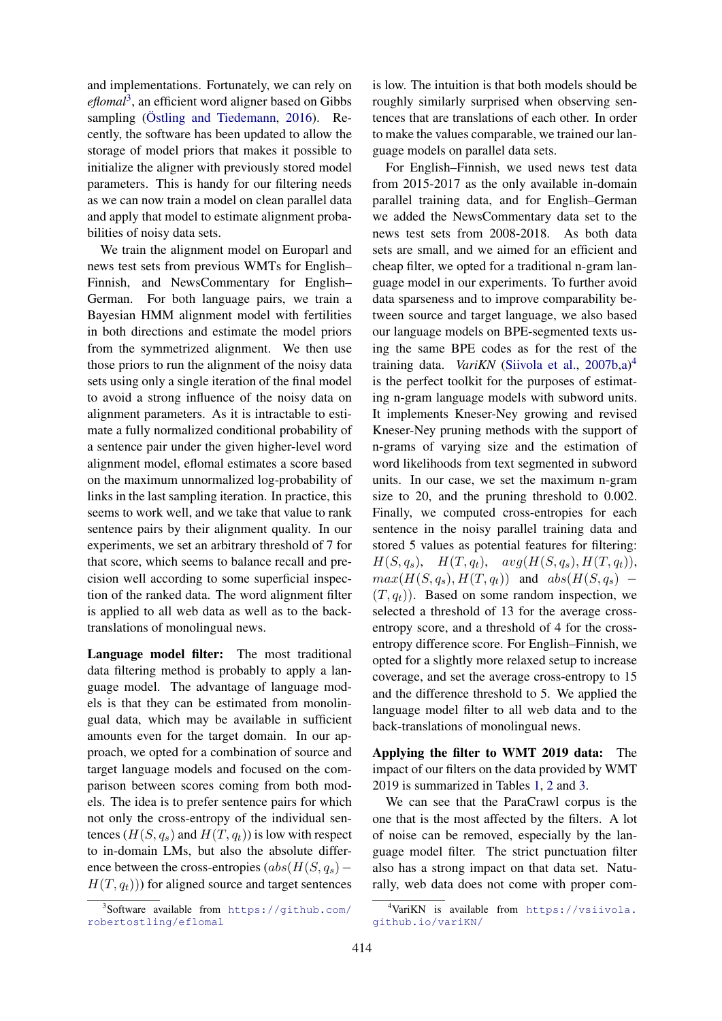and implementations. Fortunately, we can rely on *eflomal*[3](#page-2-0) , an efficient word aligner based on Gibbs sampling  $(Östling and Tiedemann, 2016)$  $(Östling and Tiedemann, 2016)$ . Recently, the software has been updated to allow the storage of model priors that makes it possible to initialize the aligner with previously stored model parameters. This is handy for our filtering needs as we can now train a model on clean parallel data and apply that model to estimate alignment probabilities of noisy data sets.

We train the alignment model on Europarl and news test sets from previous WMTs for English– Finnish, and NewsCommentary for English– German. For both language pairs, we train a Bayesian HMM alignment model with fertilities in both directions and estimate the model priors from the symmetrized alignment. We then use those priors to run the alignment of the noisy data sets using only a single iteration of the final model to avoid a strong influence of the noisy data on alignment parameters. As it is intractable to estimate a fully normalized conditional probability of a sentence pair under the given higher-level word alignment model, eflomal estimates a score based on the maximum unnormalized log-probability of links in the last sampling iteration. In practice, this seems to work well, and we take that value to rank sentence pairs by their alignment quality. In our experiments, we set an arbitrary threshold of 7 for that score, which seems to balance recall and precision well according to some superficial inspection of the ranked data. The word alignment filter is applied to all web data as well as to the backtranslations of monolingual news.

Language model filter: The most traditional data filtering method is probably to apply a language model. The advantage of language models is that they can be estimated from monolingual data, which may be available in sufficient amounts even for the target domain. In our approach, we opted for a combination of source and target language models and focused on the comparison between scores coming from both models. The idea is to prefer sentence pairs for which not only the cross-entropy of the individual sentences  $(H(S, q_s)$  and  $H(T, q_t))$  is low with respect to in-domain LMs, but also the absolute difference between the cross-entropies  $(abs(H(S, q_s) H(T, q_t)$ ) for aligned source and target sentences

is low. The intuition is that both models should be roughly similarly surprised when observing sentences that are translations of each other. In order to make the values comparable, we trained our language models on parallel data sets.

For English–Finnish, we used news test data from 2015-2017 as the only available in-domain parallel training data, and for English–German we added the NewsCommentary data set to the news test sets from 2008-2018. As both data sets are small, and we aimed for an efficient and cheap filter, we opted for a traditional n-gram language model in our experiments. To further avoid data sparseness and to improve comparability between source and target language, we also based our language models on BPE-segmented texts using the same BPE codes as for the rest of the training data. *VariKN* [\(Siivola et al.,](#page-11-6) [2007b,](#page-11-6)[a\)](#page-11-7) [4](#page-2-1) is the perfect toolkit for the purposes of estimating n-gram language models with subword units. It implements Kneser-Ney growing and revised Kneser-Ney pruning methods with the support of n-grams of varying size and the estimation of word likelihoods from text segmented in subword units. In our case, we set the maximum n-gram size to 20, and the pruning threshold to 0.002. Finally, we computed cross-entropies for each sentence in the noisy parallel training data and stored 5 values as potential features for filtering:  $H(S, q_s), \quad H(T, q_t), \quad avg(H(S, q_s), H(T, q_t)),$  $max(H(S, q_s), H(T, q_t))$  and  $abs(H(S, q_s)$  –  $(T, q_t)$ ). Based on some random inspection, we selected a threshold of 13 for the average crossentropy score, and a threshold of 4 for the crossentropy difference score. For English–Finnish, we opted for a slightly more relaxed setup to increase coverage, and set the average cross-entropy to 15 and the difference threshold to 5. We applied the language model filter to all web data and to the back-translations of monolingual news.

Applying the filter to WMT 2019 data: The impact of our filters on the data provided by WMT 2019 is summarized in Tables [1,](#page-3-1) [2](#page-3-2) and [3.](#page-3-3)

We can see that the ParaCrawl corpus is the one that is the most affected by the filters. A lot of noise can be removed, especially by the language model filter. The strict punctuation filter also has a strong impact on that data set. Naturally, web data does not come with proper com-

<span id="page-2-0"></span><sup>3</sup> Software available from [https://github.com/](https://github.com/robertostling/eflomal) [robertostling/eflomal](https://github.com/robertostling/eflomal)

<span id="page-2-1"></span><sup>4</sup>VariKN is available from [https://vsiivola.](https://vsiivola.github.io/variKN/) [github.io/variKN/](https://vsiivola.github.io/variKN/)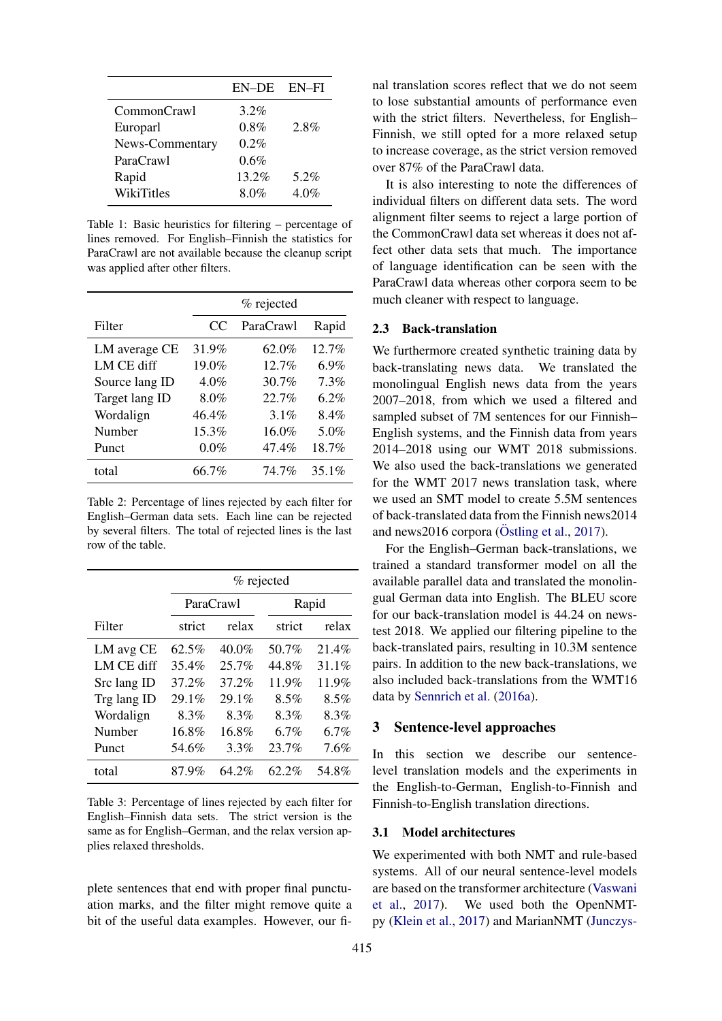<span id="page-3-1"></span>

|                 | EN-DE EN-FI |      |
|-----------------|-------------|------|
| CommonCrawl     | $3.2\%$     |      |
| Europarl        | 0.8%        | 2.8% |
| News-Commentary | $0.2\%$     |      |
| ParaCrawl       | 0.6%        |      |
| Rapid           | 13.2%       | 5.2% |
| WikiTitles      | 8.0%        | 4.0% |

Table 1: Basic heuristics for filtering – percentage of lines removed. For English–Finnish the statistics for ParaCrawl are not available because the cleanup script was applied after other filters.

<span id="page-3-2"></span>

|                | % rejected |           |         |
|----------------|------------|-----------|---------|
| Filter         | CC         | ParaCrawl | Rapid   |
| LM average CE  | 31.9%      | 62.0%     | 12.7%   |
| LM CE diff     | 19.0%      | $12.7\%$  | $6.9\%$ |
| Source lang ID | $4.0\%$    | $30.7\%$  | 7.3%    |
| Target lang ID | 8.0%       | 22.7%     | 6.2%    |
| Wordalign      | 46.4%      | $3.1\%$   | 8.4%    |
| Number         | $15.3\%$   | 16.0%     | 5.0%    |
| Punct          | 0.0%       | 47.4%     | 18.7%   |
| total          | 66.7%      | 74.7%     | 35.1%   |

Table 2: Percentage of lines rejected by each filter for English–German data sets. Each line can be rejected by several filters. The total of rejected lines is the last row of the table.

<span id="page-3-3"></span>

|             |          | % rejected |        |         |
|-------------|----------|------------|--------|---------|
|             |          | ParaCrawl  |        | Rapid   |
| Filter      | strict   | relax      | strict | relax   |
| LM avg CE   | $62.5\%$ | $40.0\%$   | 50.7%  | 21.4%   |
| LM CE diff  | 35.4%    | 25.7%      | 44.8%  | 31.1%   |
| Src lang ID | 37.2%    | 37.2%      | 11.9%  | 11.9%   |
| Trg lang ID | 29.1%    | 29.1%      | 8.5%   | 8.5%    |
| Wordalign   | 8.3%     | 8.3%       | 8.3%   | 8.3%    |
| Number      | 16.8%    | 16.8%      | 6.7%   | $6.7\%$ |
| Punct       | 54.6%    | 3.3%       | 23.7%  | 7.6%    |
| total       | 87.9%    | 64.2%      | 62.2%  | 54.8%   |

Table 3: Percentage of lines rejected by each filter for English–Finnish data sets. The strict version is the same as for English–German, and the relax version applies relaxed thresholds.

plete sentences that end with proper final punctuation marks, and the filter might remove quite a bit of the useful data examples. However, our final translation scores reflect that we do not seem to lose substantial amounts of performance even with the strict filters. Nevertheless, for English– Finnish, we still opted for a more relaxed setup to increase coverage, as the strict version removed over 87% of the ParaCrawl data.

It is also interesting to note the differences of individual filters on different data sets. The word alignment filter seems to reject a large portion of the CommonCrawl data set whereas it does not affect other data sets that much. The importance of language identification can be seen with the ParaCrawl data whereas other corpora seem to be much cleaner with respect to language.

#### 2.3 Back-translation

We furthermore created synthetic training data by back-translating news data. We translated the monolingual English news data from the years 2007–2018, from which we used a filtered and sampled subset of 7M sentences for our Finnish– English systems, and the Finnish data from years 2014–2018 using our WMT 2018 submissions. We also used the back-translations we generated for the WMT 2017 news translation task, where we used an SMT model to create 5.5M sentences of back-translated data from the Finnish news2014 and news2016 corpora ( $\ddot{\text{O}}$ stling et al., [2017\)](#page-11-8).

For the English–German back-translations, we trained a standard transformer model on all the available parallel data and translated the monolingual German data into English. The BLEU score for our back-translation model is 44.24 on newstest 2018. We applied our filtering pipeline to the back-translated pairs, resulting in 10.3M sentence pairs. In addition to the new back-translations, we also included back-translations from the WMT16 data by [Sennrich et al.](#page-11-9) [\(2016a\)](#page-11-9).

### <span id="page-3-0"></span>3 Sentence-level approaches

In this section we describe our sentencelevel translation models and the experiments in the English-to-German, English-to-Finnish and Finnish-to-English translation directions.

#### 3.1 Model architectures

We experimented with both NMT and rule-based systems. All of our neural sentence-level models are based on the transformer architecture [\(Vaswani](#page-11-10) [et al.,](#page-11-10) [2017\)](#page-11-10). We used both the OpenNMTpy [\(Klein et al.,](#page-11-11) [2017\)](#page-11-11) and MarianNMT [\(Junczys-](#page-10-0)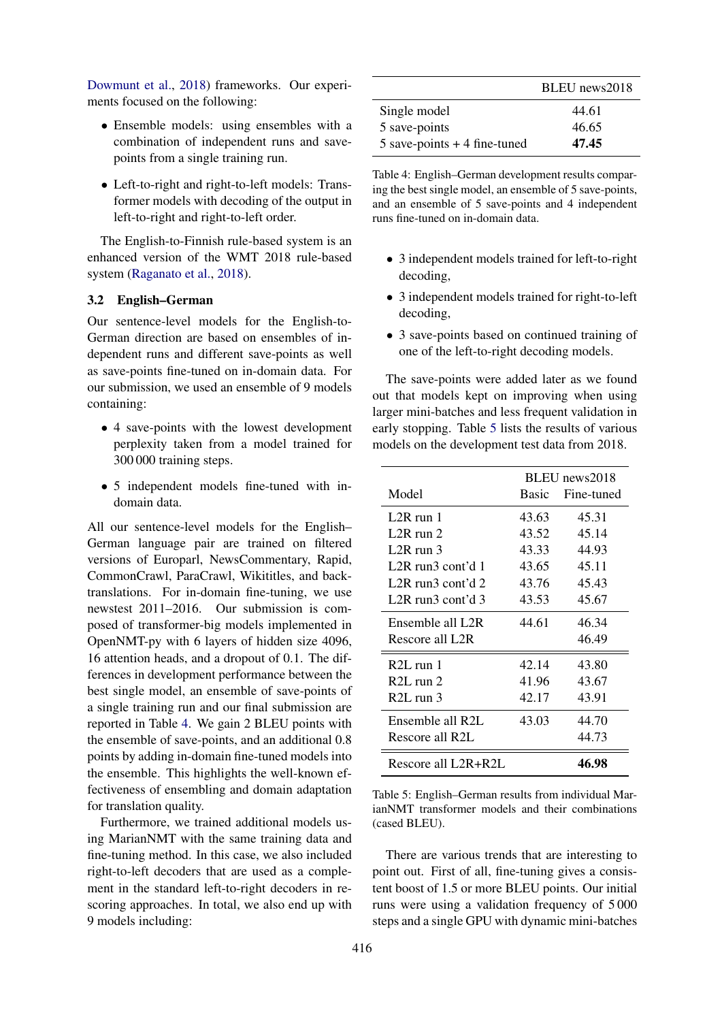[Dowmunt et al.,](#page-10-0) [2018\)](#page-10-0) frameworks. Our experiments focused on the following:

- Ensemble models: using ensembles with a combination of independent runs and savepoints from a single training run.
- Left-to-right and right-to-left models: Transformer models with decoding of the output in left-to-right and right-to-left order.

The English-to-Finnish rule-based system is an enhanced version of the WMT 2018 rule-based system [\(Raganato et al.,](#page-11-2) [2018\)](#page-11-2).

## <span id="page-4-2"></span>3.2 English–German

Our sentence-level models for the English-to-German direction are based on ensembles of independent runs and different save-points as well as save-points fine-tuned on in-domain data. For our submission, we used an ensemble of 9 models containing:

- 4 save-points with the lowest development perplexity taken from a model trained for 300 000 training steps.
- 5 independent models fine-tuned with indomain data.

All our sentence-level models for the English– German language pair are trained on filtered versions of Europarl, NewsCommentary, Rapid, CommonCrawl, ParaCrawl, Wikititles, and backtranslations. For in-domain fine-tuning, we use newstest 2011–2016. Our submission is composed of transformer-big models implemented in OpenNMT-py with 6 layers of hidden size 4096, 16 attention heads, and a dropout of 0.1. The differences in development performance between the best single model, an ensemble of save-points of a single training run and our final submission are reported in Table [4.](#page-4-0) We gain 2 BLEU points with the ensemble of save-points, and an additional 0.8 points by adding in-domain fine-tuned models into the ensemble. This highlights the well-known effectiveness of ensembling and domain adaptation for translation quality.

Furthermore, we trained additional models using MarianNMT with the same training data and fine-tuning method. In this case, we also included right-to-left decoders that are used as a complement in the standard left-to-right decoders in rescoring approaches. In total, we also end up with 9 models including:

<span id="page-4-0"></span>

|                                | BLEU news2018 |
|--------------------------------|---------------|
| Single model                   | 44.61         |
| 5 save-points                  | 46.65         |
| $5$ save-points + 4 fine-tuned | 47.45         |

Table 4: English–German development results comparing the best single model, an ensemble of 5 save-points, and an ensemble of 5 save-points and 4 independent runs fine-tuned on in-domain data.

- 3 independent models trained for left-to-right decoding,
- 3 independent models trained for right-to-left decoding,
- 3 save-points based on continued training of one of the left-to-right decoding models.

The save-points were added later as we found out that models kept on improving when using larger mini-batches and less frequent validation in early stopping. Table [5](#page-4-1) lists the results of various models on the development test data from 2018.

<span id="page-4-1"></span>

|                                            | BLEU news2018 |            |
|--------------------------------------------|---------------|------------|
| Model                                      | Basic         | Fine-tuned |
| $1.2R$ run 1                               | 43.63         | 45.31      |
| L2R run $2$                                | 43.52         | 45.14      |
| L2R run $3$                                | 43.33         | 44.93      |
| L2R run3 cont'd $1$                        | 43.65         | 45.11      |
| L2R run3 cont'd $2$                        | 43.76         | 45.43      |
| L <sub>2</sub> R run <sub>3</sub> cont'd 3 | 43.53         | 45.67      |
| Ensemble all L2R                           | 44.61         | 46.34      |
| Rescore all L2R                            |               | 46.49      |
| $R2L$ run 1                                | 42.14         | 43.80      |
| $R2L$ run 2                                | 41.96         | 43.67      |
| $R2L$ run 3                                | 42.17         | 43.91      |
| Ensemble all $R2L$                         | 43.03         | 44.70      |
| Rescore all R2L                            |               | 44.73      |
| Rescore all L2R+R2L                        |               | 46.98      |

Table 5: English–German results from individual MarianNMT transformer models and their combinations (cased BLEU).

There are various trends that are interesting to point out. First of all, fine-tuning gives a consistent boost of 1.5 or more BLEU points. Our initial runs were using a validation frequency of 5 000 steps and a single GPU with dynamic mini-batches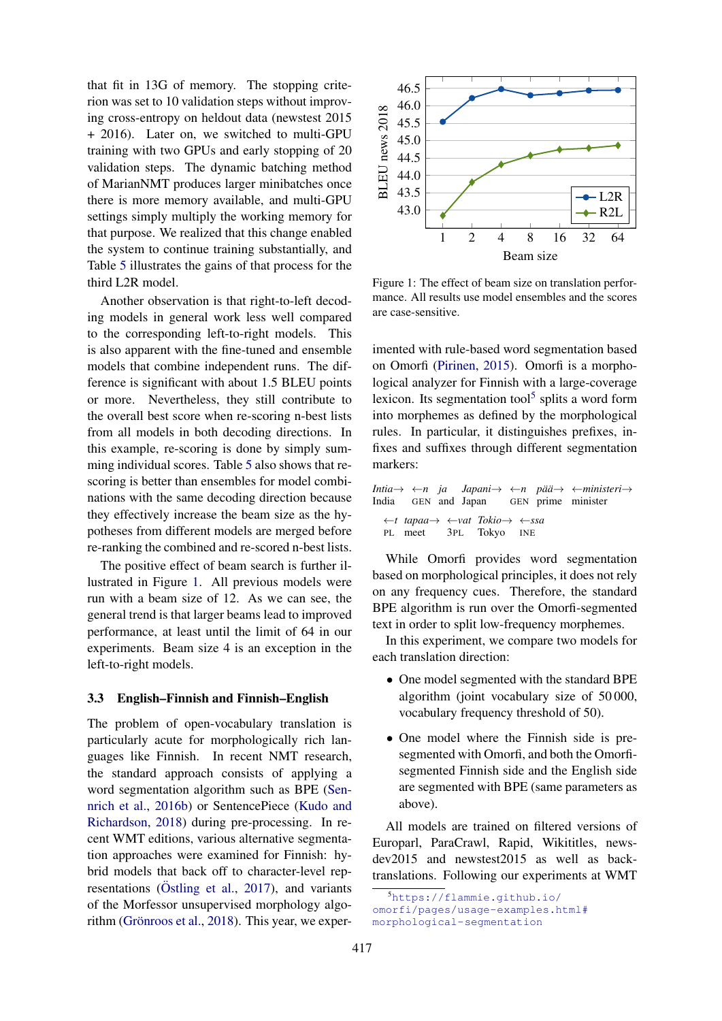that fit in 13G of memory. The stopping criterion was set to 10 validation steps without improving cross-entropy on heldout data (newstest 2015 + 2016). Later on, we switched to multi-GPU training with two GPUs and early stopping of 20 validation steps. The dynamic batching method of MarianNMT produces larger minibatches once there is more memory available, and multi-GPU settings simply multiply the working memory for that purpose. We realized that this change enabled the system to continue training substantially, and Table [5](#page-4-1) illustrates the gains of that process for the third L2R model.

Another observation is that right-to-left decoding models in general work less well compared to the corresponding left-to-right models. This is also apparent with the fine-tuned and ensemble models that combine independent runs. The difference is significant with about 1.5 BLEU points or more. Nevertheless, they still contribute to the overall best score when re-scoring n-best lists from all models in both decoding directions. In this example, re-scoring is done by simply summing individual scores. Table [5](#page-4-1) also shows that rescoring is better than ensembles for model combinations with the same decoding direction because they effectively increase the beam size as the hypotheses from different models are merged before re-ranking the combined and re-scored n-best lists.

The positive effect of beam search is further illustrated in Figure [1.](#page-5-1) All previous models were run with a beam size of 12. As we can see, the general trend is that larger beams lead to improved performance, at least until the limit of 64 in our experiments. Beam size 4 is an exception in the left-to-right models.

#### <span id="page-5-0"></span>3.3 English–Finnish and Finnish–English

The problem of open-vocabulary translation is particularly acute for morphologically rich languages like Finnish. In recent NMT research, the standard approach consists of applying a word segmentation algorithm such as BPE [\(Sen](#page-11-1)[nrich et al.,](#page-11-1) [2016b\)](#page-11-1) or SentencePiece [\(Kudo and](#page-11-12) [Richardson,](#page-11-12) [2018\)](#page-11-12) during pre-processing. In recent WMT editions, various alternative segmentation approaches were examined for Finnish: hybrid models that back off to character-level representations ( $\ddot{\text{O}}$ stling et al., [2017\)](#page-11-8), and variants of the Morfessor unsupervised morphology algo-rithm (Grönroos et al., [2018\)](#page-10-1). This year, we exper-

<span id="page-5-1"></span>

Figure 1: The effect of beam size on translation performance. All results use model ensembles and the scores are case-sensitive.

imented with rule-based word segmentation based on Omorfi [\(Pirinen,](#page-11-13) [2015\)](#page-11-13). Omorfi is a morphological analyzer for Finnish with a large-coverage lexicon. Its segmentation tool<sup>[5](#page-5-2)</sup> splits a word form into morphemes as defined by the morphological rules. In particular, it distinguishes prefixes, infixes and suffixes through different segmentation markers:

*Intia*→ ←*n ja* India GEN and Japan *Japani*→ ←*n pa¨a¨*→ ←*ministeri*→ GEN prime minister ←*t tapaa*→ PL meet ←*vat Tokio*→ ←*ssa* 3PL Tokyo INE

While Omorfi provides word segmentation based on morphological principles, it does not rely on any frequency cues. Therefore, the standard BPE algorithm is run over the Omorfi-segmented text in order to split low-frequency morphemes.

In this experiment, we compare two models for each translation direction:

- One model segmented with the standard BPE algorithm (joint vocabulary size of 50 000, vocabulary frequency threshold of 50).
- One model where the Finnish side is presegmented with Omorfi, and both the Omorfisegmented Finnish side and the English side are segmented with BPE (same parameters as above).

All models are trained on filtered versions of Europarl, ParaCrawl, Rapid, Wikititles, newsdev2015 and newstest2015 as well as backtranslations. Following our experiments at WMT

<span id="page-5-2"></span><sup>5</sup>[https://flammie.github.io/](https://flammie.github.io/omorfi/pages/usage-examples.html#morphological-segmentation) [omorfi/pages/usage-examples.html#](https://flammie.github.io/omorfi/pages/usage-examples.html#morphological-segmentation) [morphological-segmentation](https://flammie.github.io/omorfi/pages/usage-examples.html#morphological-segmentation)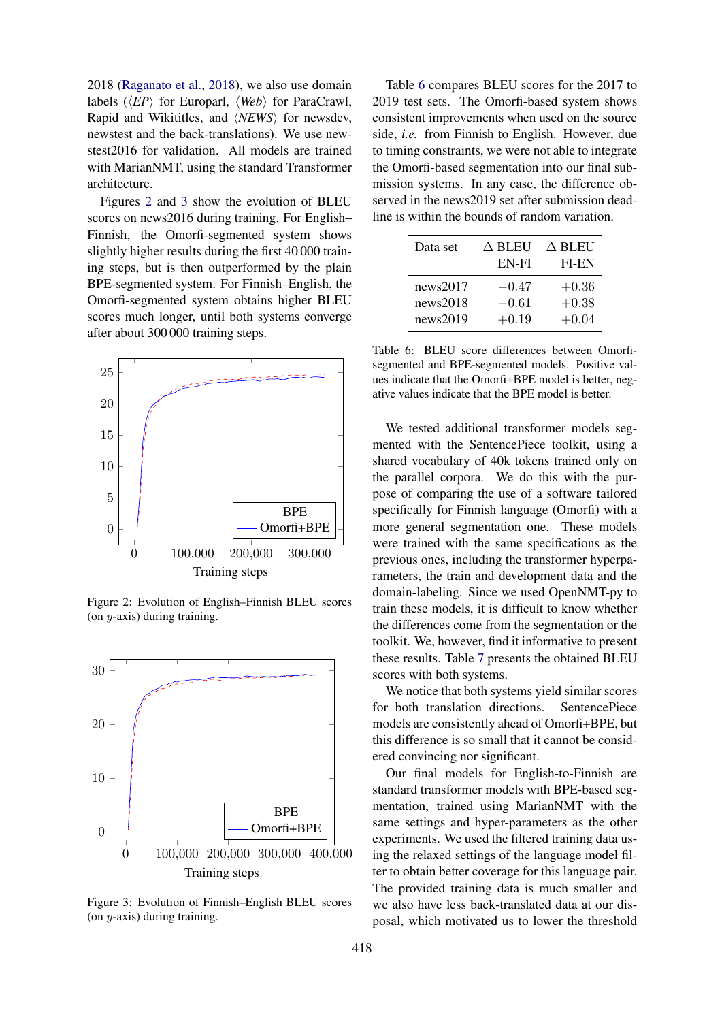2018 [\(Raganato et al.,](#page-11-2) [2018\)](#page-11-2), we also use domain labels  $(\langle EP \rangle)$  for Europarl,  $\langle Web \rangle$  for ParaCrawl, Rapid and Wikititles, and  $\langle NEWS \rangle$  for newsdev, newstest and the back-translations). We use newstest2016 for validation. All models are trained with MarianNMT, using the standard Transformer architecture.

Figures [2](#page-6-0) and [3](#page-6-1) show the evolution of BLEU scores on news2016 during training. For English– Finnish, the Omorfi-segmented system shows slightly higher results during the first 40 000 training steps, but is then outperformed by the plain BPE-segmented system. For Finnish–English, the Omorfi-segmented system obtains higher BLEU scores much longer, until both systems converge after about 300 000 training steps.

<span id="page-6-0"></span>

Figure 2: Evolution of English–Finnish BLEU scores (on  $y$ -axis) during training.

<span id="page-6-1"></span>

Figure 3: Evolution of Finnish–English BLEU scores (on  $y$ -axis) during training.

Table [6](#page-6-2) compares BLEU scores for the 2017 to 2019 test sets. The Omorfi-based system shows consistent improvements when used on the source side, *i.e.* from Finnish to English. However, due to timing constraints, we were not able to integrate the Omorfi-based segmentation into our final submission systems. In any case, the difference observed in the news2019 set after submission deadline is within the bounds of random variation.

<span id="page-6-2"></span>

| Data set | $\Delta$ BLEU | $\Delta$ BLEU |
|----------|---------------|---------------|
|          | EN-FI         | FI-EN         |
| news2017 | $-0.47$       | $+0.36$       |
| news2018 | $-0.61$       | $+0.38$       |
| news2019 | $+0.19$       | $+0.04$       |

Table 6: BLEU score differences between Omorfisegmented and BPE-segmented models. Positive values indicate that the Omorfi+BPE model is better, negative values indicate that the BPE model is better.

We tested additional transformer models segmented with the SentencePiece toolkit, using a shared vocabulary of 40k tokens trained only on the parallel corpora. We do this with the purpose of comparing the use of a software tailored specifically for Finnish language (Omorfi) with a more general segmentation one. These models were trained with the same specifications as the previous ones, including the transformer hyperparameters, the train and development data and the domain-labeling. Since we used OpenNMT-py to train these models, it is difficult to know whether the differences come from the segmentation or the toolkit. We, however, find it informative to present these results. Table [7](#page-7-1) presents the obtained BLEU scores with both systems.

We notice that both systems yield similar scores for both translation directions. SentencePiece models are consistently ahead of Omorfi+BPE, but this difference is so small that it cannot be considered convincing nor significant.

Our final models for English-to-Finnish are standard transformer models with BPE-based segmentation, trained using MarianNMT with the same settings and hyper-parameters as the other experiments. We used the filtered training data using the relaxed settings of the language model filter to obtain better coverage for this language pair. The provided training data is much smaller and we also have less back-translated data at our disposal, which motivated us to lower the threshold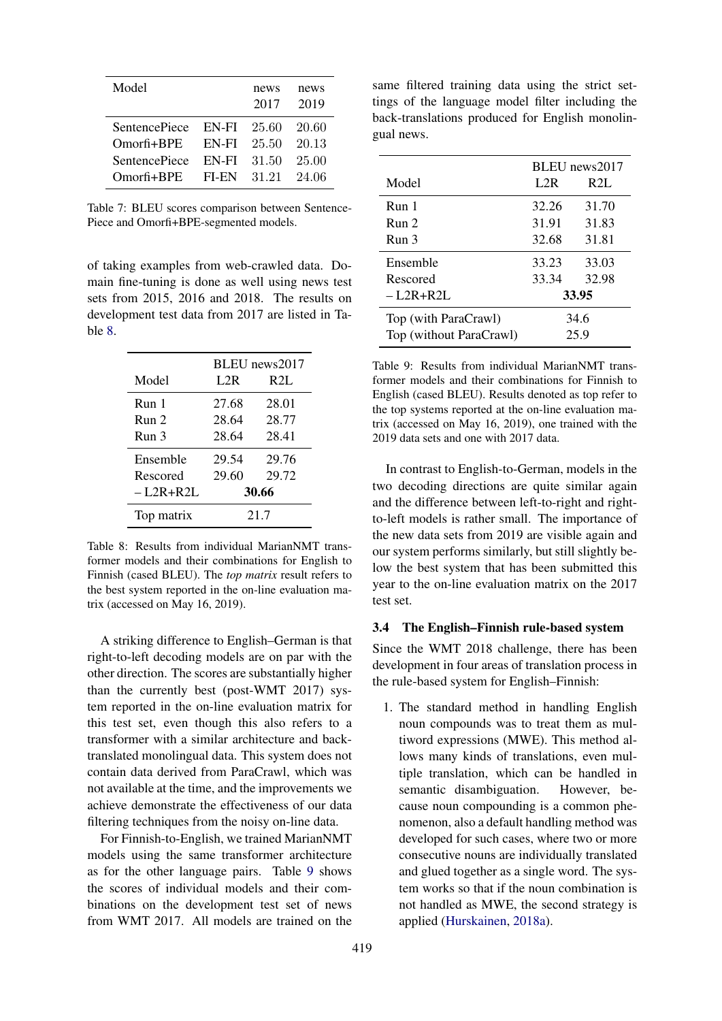<span id="page-7-1"></span>

| Model                |       | news<br>2017 | news<br>2019 |
|----------------------|-------|--------------|--------------|
| <b>SentencePiece</b> | EN-FI | 25.60        | 20.60        |
| $O$ morfi+ $BPE$     | EN-FI | 25.50        | 20.13        |
| <b>SentencePiece</b> | EN-FI | 31.50        | 25.00        |
| $O$ morfi+ $BPE$     | FI-EN | 31.21        | 24.06        |

Table 7: BLEU scores comparison between Sentence-Piece and Omorfi+BPE-segmented models.

of taking examples from web-crawled data. Domain fine-tuning is done as well using news test sets from 2015, 2016 and 2018. The results on development test data from 2017 are listed in Table [8.](#page-7-2)

<span id="page-7-2"></span>

|                  | BLEU news2017 |       |
|------------------|---------------|-------|
| Model            | L2R           | R2L   |
| Run <sub>1</sub> | 27.68         | 28.01 |
| Run <sub>2</sub> | 28.64         | 28.77 |
| Run <sub>3</sub> | 28.64         | 28.41 |
| Ensemble         | 29.54         | 29.76 |
| Rescored         | 29.60         | 29.72 |
| – L2R+R2L        | 30.66         |       |
| Top matrix       | 21.7          |       |

Table 8: Results from individual MarianNMT transformer models and their combinations for English to Finnish (cased BLEU). The *top matrix* result refers to the best system reported in the on-line evaluation matrix (accessed on May 16, 2019).

A striking difference to English–German is that right-to-left decoding models are on par with the other direction. The scores are substantially higher than the currently best (post-WMT 2017) system reported in the on-line evaluation matrix for this test set, even though this also refers to a transformer with a similar architecture and backtranslated monolingual data. This system does not contain data derived from ParaCrawl, which was not available at the time, and the improvements we achieve demonstrate the effectiveness of our data filtering techniques from the noisy on-line data.

For Finnish-to-English, we trained MarianNMT models using the same transformer architecture as for the other language pairs. Table [9](#page-7-3) shows the scores of individual models and their combinations on the development test set of news from WMT 2017. All models are trained on the same filtered training data using the strict settings of the language model filter including the back-translations produced for English monolingual news.

<span id="page-7-3"></span>

|                         | BLEU news2017 |       |
|-------------------------|---------------|-------|
| Model                   | L2R           | R2L   |
| Run <sub>1</sub>        | 32.26         | 31.70 |
| Run <sub>2</sub>        | 31.91         | 31.83 |
| Run <sub>3</sub>        | 32.68         | 31.81 |
| Ensemble                | 33.23         | 33.03 |
| Rescored                | 33.34         | 32.98 |
| $-1.2R+R2L$             |               | 33.95 |
| Top (with ParaCrawl)    | 34.6          |       |
| Top (without ParaCrawl) | 25.9          |       |

Table 9: Results from individual MarianNMT transformer models and their combinations for Finnish to English (cased BLEU). Results denoted as top refer to the top systems reported at the on-line evaluation matrix (accessed on May 16, 2019), one trained with the 2019 data sets and one with 2017 data.

In contrast to English-to-German, models in the two decoding directions are quite similar again and the difference between left-to-right and rightto-left models is rather small. The importance of the new data sets from 2019 are visible again and our system performs similarly, but still slightly below the best system that has been submitted this year to the on-line evaluation matrix on the 2017 test set.

#### <span id="page-7-0"></span>3.4 The English–Finnish rule-based system

Since the WMT 2018 challenge, there has been development in four areas of translation process in the rule-based system for English–Finnish:

1. The standard method in handling English noun compounds was to treat them as multiword expressions (MWE). This method allows many kinds of translations, even multiple translation, which can be handled in semantic disambiguation. However, because noun compounding is a common phenomenon, also a default handling method was developed for such cases, where two or more consecutive nouns are individually translated and glued together as a single word. The system works so that if the noun combination is not handled as MWE, the second strategy is applied [\(Hurskainen,](#page-10-2) [2018a\)](#page-10-2).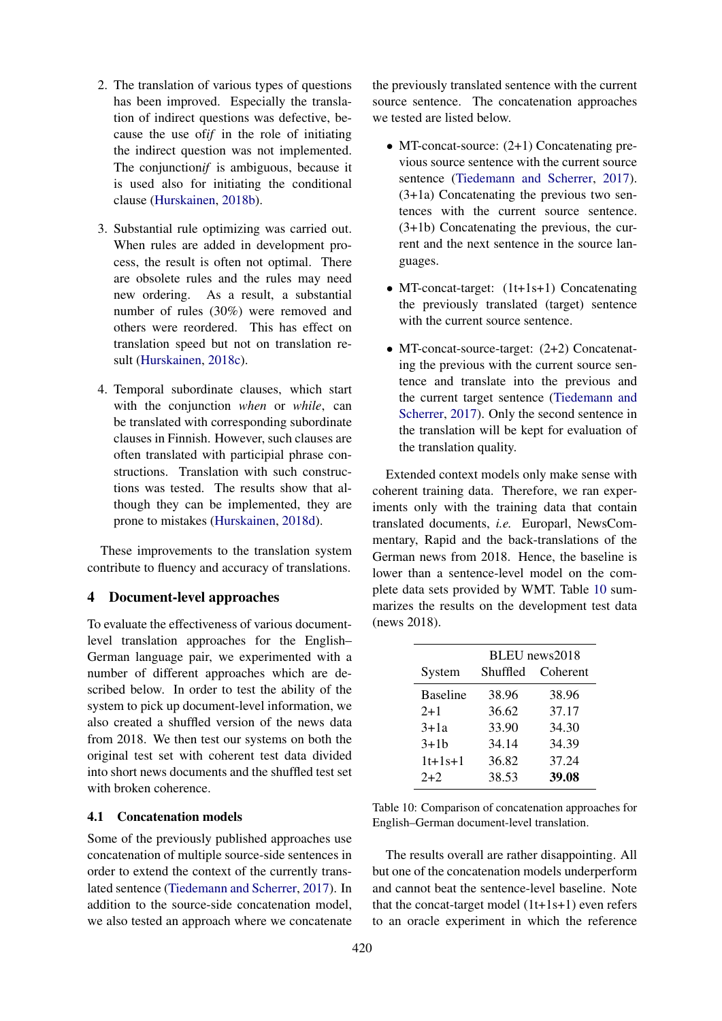- 2. The translation of various types of questions has been improved. Especially the translation of indirect questions was defective, because the use of*if* in the role of initiating the indirect question was not implemented. The conjunction*if* is ambiguous, because it is used also for initiating the conditional clause [\(Hurskainen,](#page-10-3) [2018b\)](#page-10-3).
- 3. Substantial rule optimizing was carried out. When rules are added in development process, the result is often not optimal. There are obsolete rules and the rules may need new ordering. As a result, a substantial number of rules (30%) were removed and others were reordered. This has effect on translation speed but not on translation result [\(Hurskainen,](#page-10-4) [2018c\)](#page-10-4).
- 4. Temporal subordinate clauses, which start with the conjunction *when* or *while*, can be translated with corresponding subordinate clauses in Finnish. However, such clauses are often translated with participial phrase constructions. Translation with such constructions was tested. The results show that although they can be implemented, they are prone to mistakes [\(Hurskainen,](#page-10-5) [2018d\)](#page-10-5).

These improvements to the translation system contribute to fluency and accuracy of translations.

# <span id="page-8-0"></span>4 Document-level approaches

To evaluate the effectiveness of various documentlevel translation approaches for the English– German language pair, we experimented with a number of different approaches which are described below. In order to test the ability of the system to pick up document-level information, we also created a shuffled version of the news data from 2018. We then test our systems on both the original test set with coherent test data divided into short news documents and the shuffled test set with broken coherence.

## 4.1 Concatenation models

Some of the previously published approaches use concatenation of multiple source-side sentences in order to extend the context of the currently translated sentence [\(Tiedemann and Scherrer,](#page-11-14) [2017\)](#page-11-14). In addition to the source-side concatenation model, we also tested an approach where we concatenate the previously translated sentence with the current source sentence. The concatenation approaches we tested are listed below.

- MT-concat-source: (2+1) Concatenating previous source sentence with the current source sentence [\(Tiedemann and Scherrer,](#page-11-14) [2017\)](#page-11-14). (3+1a) Concatenating the previous two sentences with the current source sentence. (3+1b) Concatenating the previous, the current and the next sentence in the source languages.
- MT-concat-target:  $(1t+1s+1)$  Concatenating the previously translated (target) sentence with the current source sentence.
- MT-concat-source-target: (2+2) Concatenating the previous with the current source sentence and translate into the previous and the current target sentence [\(Tiedemann and](#page-11-14) [Scherrer,](#page-11-14) [2017\)](#page-11-14). Only the second sentence in the translation will be kept for evaluation of the translation quality.

Extended context models only make sense with coherent training data. Therefore, we ran experiments only with the training data that contain translated documents, *i.e.* Europarl, NewsCommentary, Rapid and the back-translations of the German news from 2018. Hence, the baseline is lower than a sentence-level model on the complete data sets provided by WMT. Table [10](#page-8-1) summarizes the results on the development test data (news 2018).

<span id="page-8-1"></span>

|                 | BLEU news2018 |          |  |
|-----------------|---------------|----------|--|
| System          | Shuffled      | Coherent |  |
| <b>Baseline</b> | 38.96         | 38.96    |  |
| $2+1$           | 36.62         | 37.17    |  |
| $3 + 1a$        | 33.90         | 34.30    |  |
| $3 + 1b$        | 34.14         | 34.39    |  |
| $1t+1s+1$       | 36.82         | 37.24    |  |
| $2+2$           | 38.53         | 39.08    |  |

Table 10: Comparison of concatenation approaches for English–German document-level translation.

The results overall are rather disappointing. All but one of the concatenation models underperform and cannot beat the sentence-level baseline. Note that the concat-target model (1t+1s+1) even refers to an oracle experiment in which the reference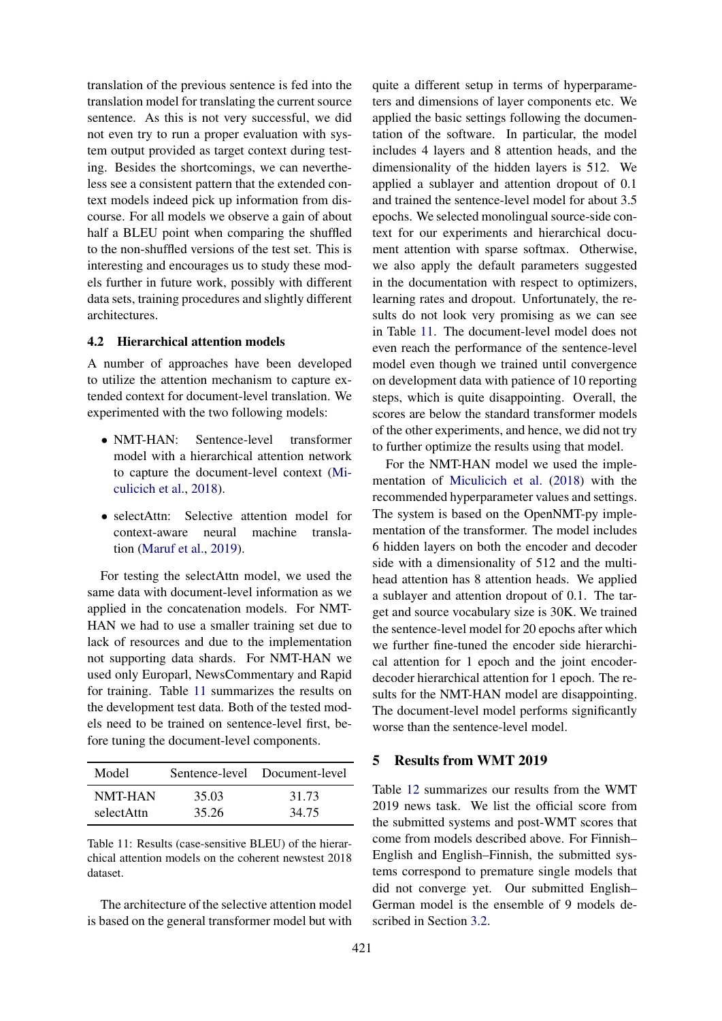translation of the previous sentence is fed into the translation model for translating the current source sentence. As this is not very successful, we did not even try to run a proper evaluation with system output provided as target context during testing. Besides the shortcomings, we can nevertheless see a consistent pattern that the extended context models indeed pick up information from discourse. For all models we observe a gain of about half a BLEU point when comparing the shuffled to the non-shuffled versions of the test set. This is interesting and encourages us to study these models further in future work, possibly with different data sets, training procedures and slightly different architectures.

# 4.2 Hierarchical attention models

A number of approaches have been developed to utilize the attention mechanism to capture extended context for document-level translation. We experimented with the two following models:

- NMT-HAN: Sentence-level transformer model with a hierarchical attention network to capture the document-level context [\(Mi](#page-11-15)[culicich et al.,](#page-11-15) [2018\)](#page-11-15).
- selectAttn: Selective attention model for context-aware neural machine translation [\(Maruf et al.,](#page-11-16) [2019\)](#page-11-16).

For testing the selectAttn model, we used the same data with document-level information as we applied in the concatenation models. For NMT-HAN we had to use a smaller training set due to lack of resources and due to the implementation not supporting data shards. For NMT-HAN we used only Europarl, NewsCommentary and Rapid for training. Table [11](#page-9-1) summarizes the results on the development test data. Both of the tested models need to be trained on sentence-level first, before tuning the document-level components.

<span id="page-9-1"></span>

| Model      |       | Sentence-level Document-level |
|------------|-------|-------------------------------|
| NMT-HAN    | 35.03 | 31.73                         |
| selectAttn | 35.26 | 34.75                         |

Table 11: Results (case-sensitive BLEU) of the hierarchical attention models on the coherent newstest 2018 dataset.

The architecture of the selective attention model is based on the general transformer model but with

quite a different setup in terms of hyperparameters and dimensions of layer components etc. We applied the basic settings following the documentation of the software. In particular, the model includes 4 layers and 8 attention heads, and the dimensionality of the hidden layers is 512. We applied a sublayer and attention dropout of 0.1 and trained the sentence-level model for about 3.5 epochs. We selected monolingual source-side context for our experiments and hierarchical document attention with sparse softmax. Otherwise, we also apply the default parameters suggested in the documentation with respect to optimizers, learning rates and dropout. Unfortunately, the results do not look very promising as we can see in Table [11.](#page-9-1) The document-level model does not even reach the performance of the sentence-level model even though we trained until convergence on development data with patience of 10 reporting steps, which is quite disappointing. Overall, the scores are below the standard transformer models of the other experiments, and hence, we did not try to further optimize the results using that model.

For the NMT-HAN model we used the implementation of [Miculicich et al.](#page-11-15) [\(2018\)](#page-11-15) with the recommended hyperparameter values and settings. The system is based on the OpenNMT-py implementation of the transformer. The model includes 6 hidden layers on both the encoder and decoder side with a dimensionality of 512 and the multihead attention has 8 attention heads. We applied a sublayer and attention dropout of 0.1. The target and source vocabulary size is 30K. We trained the sentence-level model for 20 epochs after which we further fine-tuned the encoder side hierarchical attention for 1 epoch and the joint encoderdecoder hierarchical attention for 1 epoch. The results for the NMT-HAN model are disappointing. The document-level model performs significantly worse than the sentence-level model.

## <span id="page-9-0"></span>5 Results from WMT 2019

Table [12](#page-10-6) summarizes our results from the WMT 2019 news task. We list the official score from the submitted systems and post-WMT scores that come from models described above. For Finnish– English and English–Finnish, the submitted systems correspond to premature single models that did not converge yet. Our submitted English– German model is the ensemble of 9 models described in Section [3.2.](#page-4-2)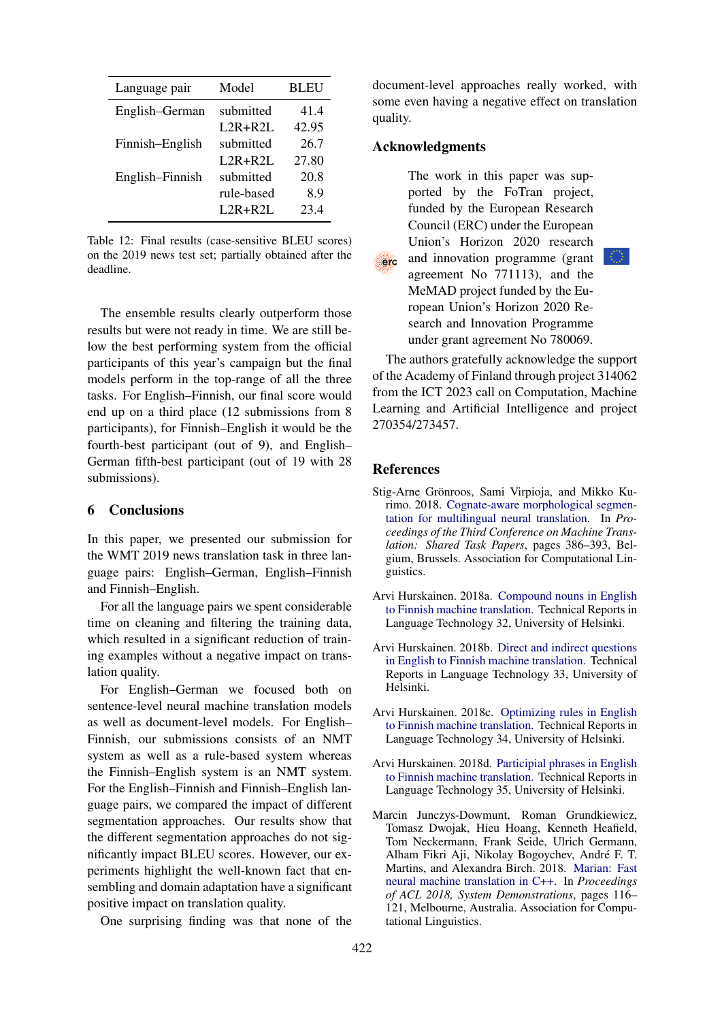<span id="page-10-6"></span>

| Language pair   | Model      | <b>BLEU</b> |
|-----------------|------------|-------------|
| English-German  | submitted  | 41.4        |
|                 | $L2R+R2L$  | 42.95       |
| Finnish-English | submitted  | 26.7        |
|                 | $L2R+R2L$  | 27.80       |
| English-Finnish | submitted  | 20.8        |
|                 | rule-based | 8.9         |
|                 | $L2R+R2L$  | 23.4        |

Table 12: Final results (case-sensitive BLEU scores) on the 2019 news test set; partially obtained after the deadline.

The ensemble results clearly outperform those results but were not ready in time. We are still below the best performing system from the official participants of this year's campaign but the final models perform in the top-range of all the three tasks. For English–Finnish, our final score would end up on a third place (12 submissions from 8 participants), for Finnish–English it would be the fourth-best participant (out of 9), and English– German fifth-best participant (out of 19 with 28 submissions).

# 6 Conclusions

In this paper, we presented our submission for the WMT 2019 news translation task in three language pairs: English–German, English–Finnish and Finnish–English.

For all the language pairs we spent considerable time on cleaning and filtering the training data, which resulted in a significant reduction of training examples without a negative impact on translation quality.

For English–German we focused both on sentence-level neural machine translation models as well as document-level models. For English– Finnish, our submissions consists of an NMT system as well as a rule-based system whereas the Finnish–English system is an NMT system. For the English–Finnish and Finnish–English language pairs, we compared the impact of different segmentation approaches. Our results show that the different segmentation approaches do not significantly impact BLEU scores. However, our experiments highlight the well-known fact that ensembling and domain adaptation have a significant positive impact on translation quality.

One surprising finding was that none of the

document-level approaches really worked, with some even having a negative effect on translation quality.

# Acknowledgments

The work in this paper was supported by the FoTran project, funded by the European Research Council (ERC) under the European Union's Horizon 2020 research and innovation programme (grant erc agreement No 771113), and the MeMAD project funded by the European Union's Horizon 2020 Research and Innovation Programme under grant agreement No 780069.

The authors gratefully acknowledge the support of the Academy of Finland through project 314062 from the ICT 2023 call on Computation, Machine Learning and Artificial Intelligence and project 270354/273457.

### References

- <span id="page-10-1"></span>Stig-Arne Grönroos, Sami Virpioja, and Mikko Kurimo. 2018. [Cognate-aware morphological segmen](https://www.aclweb.org/anthology/W18-6410)[tation for multilingual neural translation.](https://www.aclweb.org/anthology/W18-6410) In *Proceedings of the Third Conference on Machine Translation: Shared Task Papers*, pages 386–393, Belgium, Brussels. Association for Computational Linguistics.
- <span id="page-10-2"></span>Arvi Hurskainen. 2018a. [Compound nouns in English](http://www.njas.helsinki.fi/salama) [to Finnish machine translation.](http://www.njas.helsinki.fi/salama) Technical Reports in Language Technology 32, University of Helsinki.
- <span id="page-10-3"></span>Arvi Hurskainen. 2018b. [Direct and indirect questions](http://www.njas.helsinki.fi/salama) [in English to Finnish machine translation.](http://www.njas.helsinki.fi/salama) Technical Reports in Language Technology 33, University of Helsinki.
- <span id="page-10-4"></span>Arvi Hurskainen. 2018c. [Optimizing rules in English](http://www.njas.helsinki.fi/salama) [to Finnish machine translation.](http://www.njas.helsinki.fi/salama) Technical Reports in Language Technology 34, University of Helsinki.
- <span id="page-10-5"></span>Arvi Hurskainen. 2018d. [Participial phrases in English](http://www.njas.helsinki.fi/salama) [to Finnish machine translation.](http://www.njas.helsinki.fi/salama) Technical Reports in Language Technology 35, University of Helsinki.
- <span id="page-10-0"></span>Marcin Junczys-Dowmunt, Roman Grundkiewicz, Tomasz Dwojak, Hieu Hoang, Kenneth Heafield, Tom Neckermann, Frank Seide, Ulrich Germann, Alham Fikri Aji, Nikolay Bogoychev, Andre F. T. ´ Martins, and Alexandra Birch. 2018. [Marian: Fast](http://www.aclweb.org/anthology/P18-4020) [neural machine translation in C++.](http://www.aclweb.org/anthology/P18-4020) In *Proceedings of ACL 2018, System Demonstrations*, pages 116– 121, Melbourne, Australia. Association for Computational Linguistics.